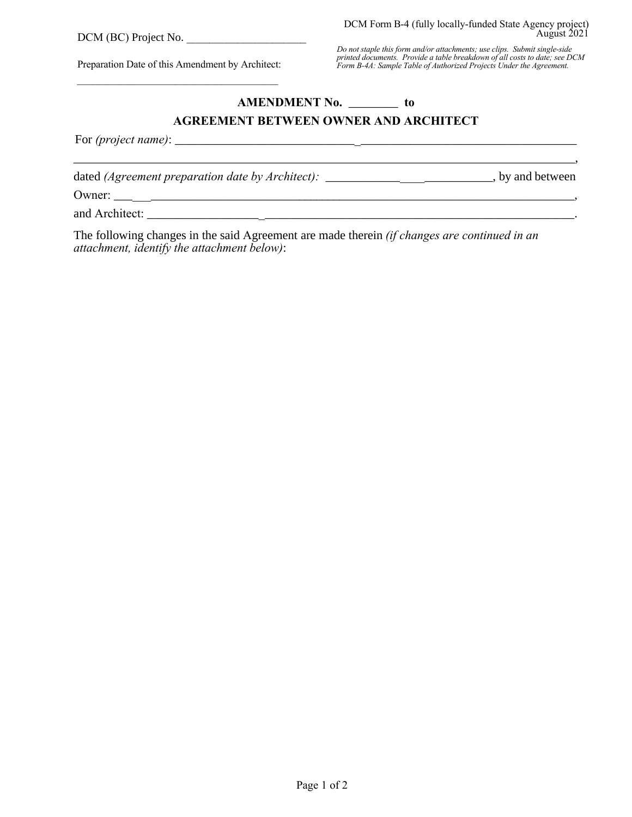Preparation Date of this Amendment by Architect: \_\_\_\_\_\_\_\_\_\_\_\_\_\_\_\_\_\_\_\_\_\_\_\_\_\_\_\_\_\_\_\_\_\_\_\_\_\_\_

## **AMENDMENT No.** \_\_\_\_\_\_\_\_ **to**

## **AGREEMENT BETWEEN OWNER AND ARCHITECT**

For *(project name)*: \_\_\_\_\_\_\_\_\_\_\_\_\_\_\_\_\_\_\_\_\_\_\_\_\_\_\_\_\_\_\_\_\_\_\_\_\_\_\_\_\_\_\_\_\_\_\_\_\_\_\_\_\_\_\_\_\_\_\_\_\_\_\_\_\_

dated (Agreement preparation date by Architect): \_\_\_\_\_\_\_\_\_\_\_\_\_\_\_\_\_\_\_\_\_\_\_\_\_\_\_\_, by and between Owner: \_\_\_\_\_\_\_\_\_\_\_\_\_\_\_\_\_\_\_\_\_\_\_\_\_\_\_\_\_\_\_\_\_\_\_\_\_\_\_\_\_\_\_\_\_\_\_\_\_\_\_\_\_\_\_\_\_\_\_\_\_\_\_\_\_\_\_\_\_\_\_\_\_\_\_, and Architect: \_\_\_\_\_\_\_\_\_\_\_\_\_\_\_\_\_\_\_\_\_\_\_\_\_\_\_\_\_\_\_\_\_\_\_\_\_\_\_\_\_\_\_\_\_\_\_\_\_\_\_\_\_\_\_\_\_\_\_\_\_\_\_\_\_\_\_\_\_.

\_\_\_\_\_\_\_\_\_\_\_\_\_\_\_\_\_\_\_\_\_\_\_\_\_\_\_\_\_\_\_\_\_\_\_\_\_\_\_\_\_\_\_\_\_\_\_\_\_\_\_\_\_\_\_\_\_\_\_\_\_\_\_\_\_\_\_\_\_\_\_\_\_\_\_\_\_\_\_\_\_,

The following changes in the said Agreement are made therein *(if changes are continued in an attachment, identify the attachment below)*: